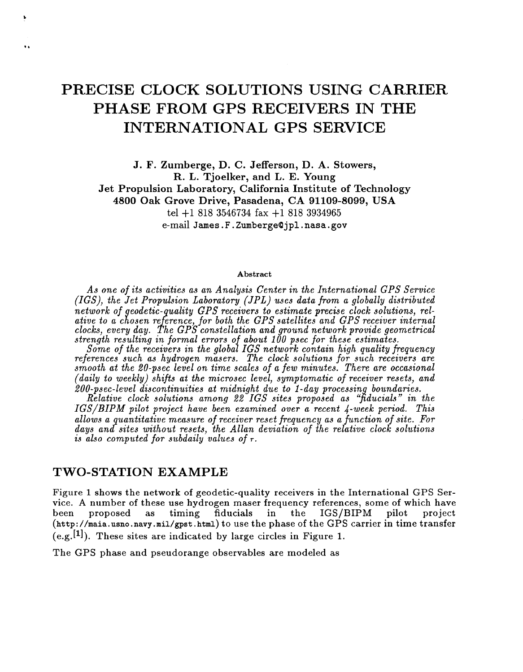# **PRECISE CLOCK SOLUTIONS USING CARRIER PHASE FROM GPS RECEIVERS IN THE INTERNATIONAL GPS SERVICE**

**J. F. Zumberge, D. C. Jefferson, D. A. Stowers, R. L. Tjoelker, and L. E. Young Jet Propulsion Laboratory, California Institute of Technology 4800 Oak Grove Drive, Pasadena, CA 91109-8099, USA**  tel +1 818 **3546734** fax +1 818 **3934965**  e-mail **James.** F . **Zumbergea** jpl . nasa . **gov** 

#### **Abstract**

*As one of its activities as an Analysis Center in the International GPS Service (IGS), the Jet Propulsion Laboratory (JPL) uses data from a globally distributed GPS receivers to estimate precise clock solutions, relfor both the GPS satellites and GPS receiver internal constellation and ground network provide geometrical strength resulting in formal errors of about 100 psec for these estimates.* 

*Some of the receivers in the global IGS network contain high quality frequency references such as hydrogen masers. The clock solutions for such receivers a smooth at the 20-psec level on time scales of a few minutes. There are occasional (daily to weekly) shifis at the microsec level, symptomatic of receiver resets, and*  200-psec-level discontinuities at midnight due to 1-day processing boundaries.

*Relative clock solutions among* **22** *IGS sites proposed as '#ducials" in the IGS/BIPM pilot project have been examined over a recent 4-week period. This allows a uantitative measure of receiver reset frequency as a function of site. For*  days and sites without resets, the Allan deviation of the relative clock solutions *is also computed for subdaily values of T.* 

### **TWO-STATION EXAMPLE**

 $\ddot{\phantom{a}}$ 

Figure 1 shows the network of geodetic-quality receivers in the International GPS Service. **A** number **of** these use hydrogen maser frequency references, some of which have been proposed as timing fiducials  $in$ the IGS/BIPM pilot project **[\(http://maia.usno.navy.mil/gpst.html\)](http://maia.usno.navy.mil/gpst.html)** to use the phase **of** the GPS carrier in time transfer  $(e.g.$ [1]). These sites are indicated by large circles in Figure 1.

The GPS phase and pseudorange observables are modeled as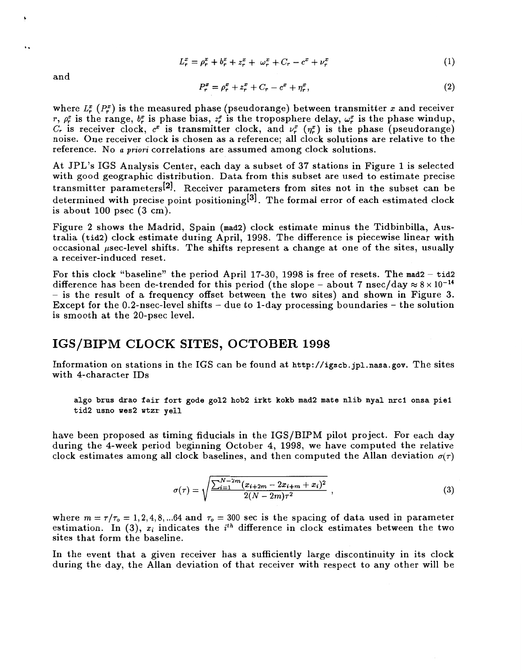$$
L_r^x = \rho_r^x + b_r^x + z_r^x + \omega_r^x + C_r - c^x + \nu_r^x \tag{1}
$$

and

Ω.

$$
P_r^x = \rho_r^x + z_r^x + C_r - c^x + \eta_r^x,\tag{2}
$$

where  $L_r^x(P_r^x)$  is the measured phase (pseudorange) between transmitter *x* and receiver *r,*  $\rho_r^x$  is the range,  $b_r^x$  is phase bias,  $z_r^x$  is the troposphere delay,  $\omega_r^x$  is the phase windup,  $C_r$  is receiver clock,  $c^x$  is transmitter clock, and  $\nu_r^x$  ( $\eta_r^x$ ) is the phase (pseudorange) noise. One receiver clock is chosen as a reference; all clock solutions are relative to the reference. No *a priori* correlations are assumed among clock solutions.

At JPL's IGS Analysis Center, each day a subset of **37** stations in Figure **1** is selected with good geographic distribution. Data from this subset are used to estimate precise transmitter parameters<sup>[2]</sup>. Receiver parameters from sites not in the subset can be determined with precise point positioning<sup>[3]</sup>. The formal error of each estimated clock is about 100 psec **(3** cm).

Figure 2 shows the Madrid, Spain **(mad2)** clock estimate minus the Tidbinbilla, Australia **(tid2)** clock estimate during April, 1998. The difference **is** piecewise linear with occasional pec-level shifts. The shifts represent **a** change at one of the sites, usually a receiver-induced reset.

For this clock "baseline" the period April 17-30, 1998 is free of resets. The mad2 - tid2 difference has been de-trended for this period (the slope - about 7 nsec/day  $\approx 8 \times 10^{-14}$ - is the result of a frequency offset between the two sites) and shown in Figure **3.**  Except for the 0.2-nsec-level shifts - due to 1-day processing boundaries - the solution is smooth at the 20-psec level.

# **IGS/BIPM CLOCK SITES, OCTOBER 1998**

Information on stations in the IGS can be found at **[http://igscb.](http://igscb) [jpl.nasa.gov.](http://jpl.nasa.gov)** The sites with 4-character IDS

**algo brus drao fair fort gode go12 hob2 irkt kokb mad2 mate nlib nyal nrcl onsa pie1 tid2 usno wes2 wtzr yell** 

have been proposed as timing fiducials in the IGS/BIPM pilot project. For each day during the 4-week period beginning October **4,** 1998, we have computed the relative clock estimates among all clock baselines, and then computed the Allan deviation  $\sigma(\tau)$ 

$$
\sigma(\tau) = \sqrt{\frac{\sum_{i=1}^{N-2m} (x_{i+2m} - 2x_{i+m} + x_i)^2}{2(N-2m)\tau^2}} \tag{3}
$$

where  $m = \tau/\tau_o = 1, 2, 4, 8, ... 64$  and  $\tau_o = 300$  sec is the spacing of data used in parameter estimation. In (3),  $x_i$  indicates the  $i^{th}$  difference in clock estimates between the two sites that form the baseline.

In the event that a given receiver has a sufficiently large discontinuity in its clock during the day, the Allan deviation of that receiver with respect to any other will be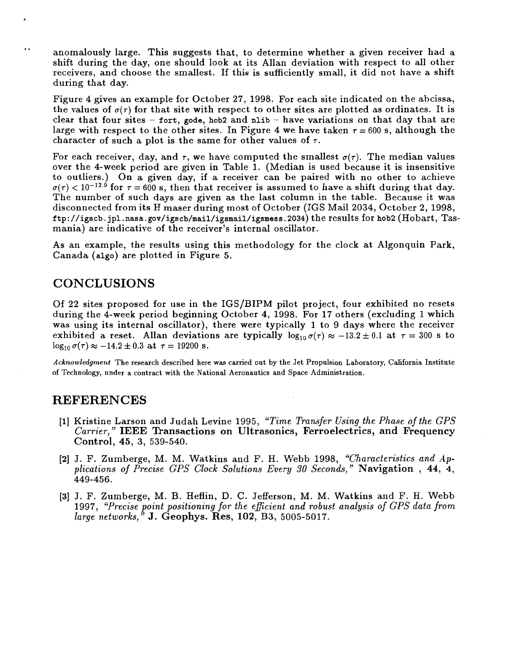.. anomalously large. This suggests that, to determine whether a given receiver had a shift during the day, one should look at its Allan deviation with respect to all other receivers, and choose the smallest. If this is sufficiently small, it did not have a shift during that day.

Figure 4 gives an example for October 27, 1998. For each site indicated on the abcissa, the values of  $\sigma(\tau)$  for that site with respect to other sites are plotted as ordinates. It is clear that four sites - **fort, gode, hob2** and **nlib** - have variations on that day that are large with respect to the other sites. In Figure 4 we have taken  $\tau = 600$  s, although the character of such a plot is the same for other values of  $\tau$ .

For each receiver, day, and  $\tau$ , we have computed the smallest  $\sigma(\tau)$ . The median values over the 4-week period are given in Table 1. (Median is used because it is insensitive to outliers.) On a given day, if a receiver can be paired with no other to achieve  $\sigma(\tau) < 10^{-12.9}$  for  $\tau = 600$  s, then that receiver is assumed to have a shift during that day. The number of such days are given as the last column in the table. Because it was disconnected from its H maser during most of October (IGS Mail 2034, October 2, 1998, **[ftp://igscb.](ftp://igscb) jpl.nasa.gov/igscb/mail/igsmail/igsmess.2034)** the results for **hob2** (Hobart, Tasmania) are indicative of the receiver's internal oscillator.

**As** an example, the results using this methodology for the clock at Algonquin Park, Canada **(algo)** are plotted in Figure 5.

# **CONCLUSIONS**

**t** 

Of 22 sites proposed for use in the IGS/BIPM pilot project, four exhibited no resets during the 4-week period beginning October 4, 1998. For 17 others (excluding 1 which was using its internal oscillator), there were typically 1 to 9 days where the receiver exhibited a reset. Allan deviations are typically  $log_{10} \sigma(\tau) \approx -13.2 \pm 0.1$  at  $\tau = 300$  s to  $\log_{10} \sigma(\tau) \approx -14.2 \pm 0.3$  at  $\tau = 19200$  s.

**Acknowledgment The research described here was carried out by the Jet Propulsion Laboratory, California Institute of Technology, under a contract with the National Aeronautics and Space Administration.** 

## **REFERENCES**

- **[I]** Kristine Larson and Judah Levine 1995, *"Time Transfer Using the Phase of the GPS Carrier,* ') **IEEE Transactions on Ultrasonics, Ferroelectrics, and Frequency Control, 45,** 3, 539-540.
- **[2]** J. F. Zumberge, M. M. Watkins and F. H. Webb 1998, *"Characteristics and Applications of Precise GPS Clock Solutions Every 30 Seconds,"* **Navigation** , **44,** 4, 449-456.
- **[3]** J. F. Zumberge, M. B. Heflin, D. C. Jefferson, M. M. Watkins and F. H. Webb 1997, *"Precise point positioning for the ejgicient and robust analysis of GPS data from large networks,"* **J. Geophys. Res, 102,** B3, 5005-5017.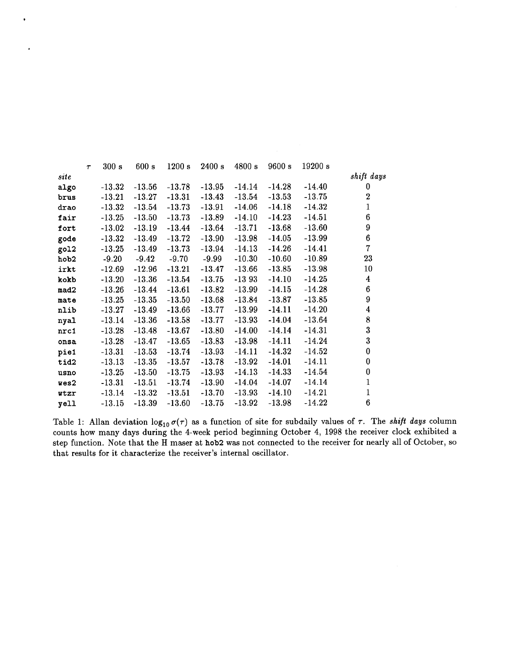|      | $\tau$ | 300 s    | 600 s    | 1200 s   | 2400 s   | 4800 s   | 9600 s   | 19200 s  |                  |
|------|--------|----------|----------|----------|----------|----------|----------|----------|------------------|
| site |        |          |          |          |          |          |          |          | shift days       |
| algo |        | $-13.32$ | $-13.56$ | $-13.78$ | $-13.95$ | $-14.14$ | $-14.28$ | $-14.40$ | 0                |
| brus |        | $-13.21$ | $-13.27$ | $-13.31$ | $-13.43$ | $-13.54$ | $-13.53$ | $-13.75$ | $\overline{2}$   |
| drao |        | $-13.32$ | $-13.54$ | $-13.73$ | $-13.91$ | $-14.06$ | $-14.18$ | $-14.32$ | $\mathbf{1}$     |
| fair |        | $-13.25$ | $-13.50$ | $-13.73$ | $-13.89$ | $-14.10$ | $-14.23$ | $-14.51$ | $\boldsymbol{6}$ |
| fort |        | $-13.02$ | $-13.19$ | $-13.44$ | $-13.64$ | $-13.71$ | $-13.68$ | $-13.60$ | 9                |
| gode |        | $-13.32$ | $-13.49$ | $-13.72$ | $-13.90$ | $-13.98$ | $-14.05$ | $-13.99$ | $\boldsymbol{6}$ |
| go12 |        | $-13.25$ | $-13.49$ | $-13.73$ | $-13.94$ | $-14.13$ | $-14.26$ | $-14.41$ | $\overline{7}$   |
| hob2 |        | $-9.20$  | $-9.42$  | $-9.70$  | $-9.99$  | $-10.30$ | $-10.60$ | $-10.89$ | 23               |
| irkt |        | $-12.69$ | $-12.96$ | $-13.21$ | $-13.47$ | $-13.66$ | $-13.85$ | $-13.98$ | 10               |
| kokb |        | $-13.20$ | $-13.36$ | $-13.54$ | $-13.75$ | $-1393$  | $-14.10$ | $-14.25$ | $\boldsymbol{4}$ |
| mad2 |        | $-13.26$ | $-13.44$ | $-13.61$ | $-13.82$ | $-13.99$ | $-14.15$ | $-14.28$ | 6                |
| mate |        | $-13.25$ | $-13.35$ | $-13.50$ | $-13.68$ | $-13.84$ | $-13.87$ | $-13.85$ | 9                |
| nlib |        | $-13.27$ | $-13.49$ | $-13.66$ | $-13.77$ | $-13.99$ | $-14.11$ | $-14.20$ | $\boldsymbol{4}$ |
| nyal |        | $-13.14$ | $-13.36$ | $-13.58$ | $-13.77$ | $-13.93$ | $-14.04$ | $-13.64$ | 8                |
| nrc1 |        | $-13.28$ | $-13.48$ | $-13.67$ | $-13.80$ | $-14.00$ | $-14.14$ | $-14.31$ | 3                |
| onsa |        | $-13.28$ | $-13.47$ | $-13.65$ | $-13.83$ | $-13.98$ | $-14.11$ | $-14.24$ | 3                |
| pie1 |        | $-13.31$ | $-13.53$ | $-13.74$ | $-13.93$ | $-14.11$ | $-14.32$ | $-14.52$ | $\boldsymbol{0}$ |
| tid2 |        | $-13.13$ | $-13.35$ | $-13.57$ | $-13.78$ | $-13.92$ | $-14.01$ | $-14.11$ | $\bf{0}$         |
| usno |        | $-13.25$ | $-13.50$ | $-13.75$ | $-13.93$ | $-14.13$ | $-14.33$ | $-14.54$ | $\pmb{0}$        |
| wes2 |        | $-13.31$ | $-13.51$ | $-13.74$ | $-13.90$ | $-14.04$ | $-14.07$ | $-14.14$ | $\mathbf{1}$     |
| wtzr |        | $-13.14$ | $-13.32$ | $-13.51$ | $-13.70$ | $-13.93$ | $-14.10$ | $-14.21$ | $\mathbf{1}$     |
| vell |        | $-13.15$ | $-13.39$ | $-13.60$ | $-13.75$ | $-13.92$ | $-13.98$ | $-14.22$ | 6                |

 $\cdot$ 

Table 1: Allan deviation  $\log_{10} \sigma(\tau)$  as a function of site for subdaily values of  $\tau$ . The shift days column counts how many days during the 4-week period beginning October 4, 1998 the receiver clock exhibited a step function. Note that the H maser at hob2 was not connected to the receiver for nearly all of October, so that results for it characterize the receiver's internal oscillator.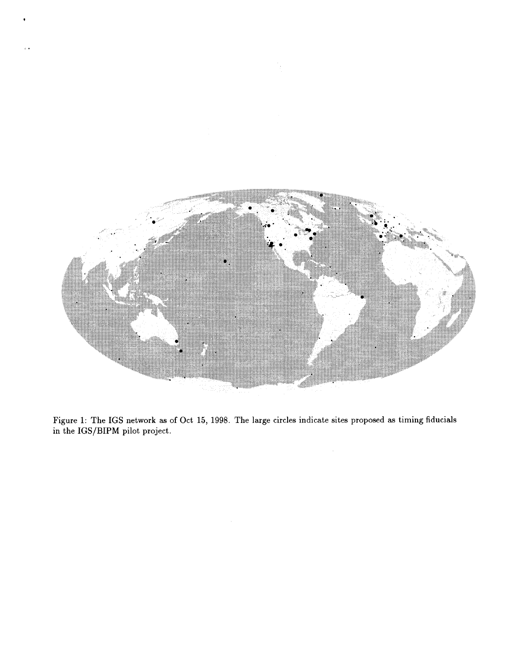

\*

Figure **1:** The IGS network as of Oct 15, 1998. The large circles indicate sites proposed as timing fiducials in the IGS/BIPM pilot project.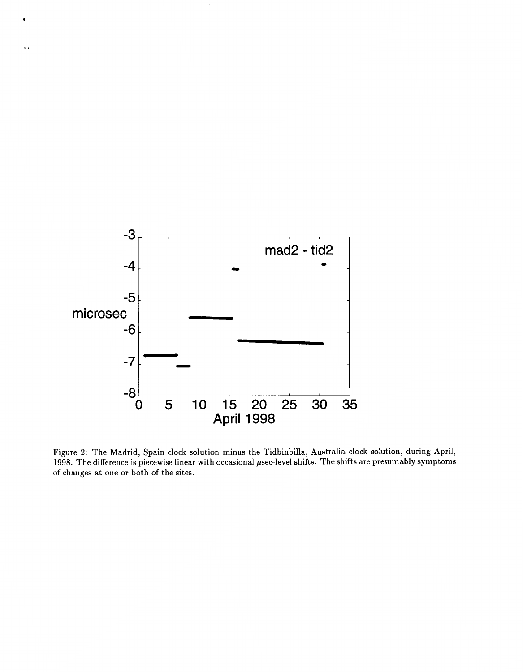

.

.

Figure **2:** The Madrid, Spain clock solution minus the Tidbinbilla, Australia clock solution, during April, 1998. The difference is piecewise linear with occasional  $\mu$ sec-level shifts. The shifts are presumably symptoms of changes at one or both of the sites.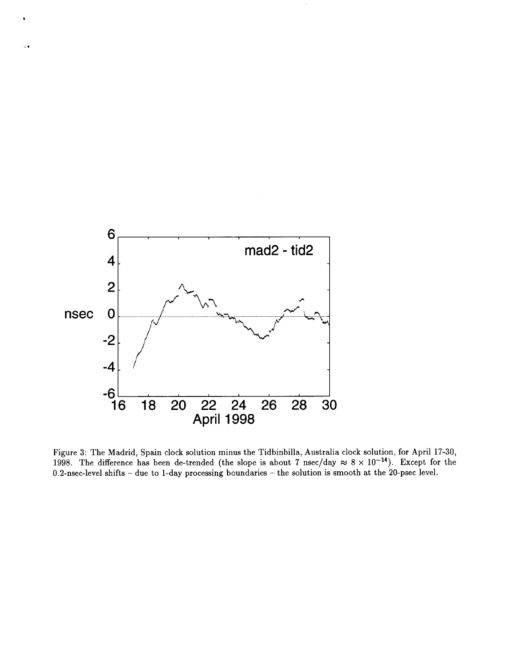

 $\overline{a}$ 

Figure 3: The Madrid, Spain clock solution minus the Tidbinbilla, Australia clock solution, **for** April 17-30, 1998. The difference has been de-trended (the slope is about  $7 \text{ nsec/day} \approx 8 \times 10^{-14}$ ). Except for the 0.2-nsec-level shifts - due to 1-day processing boundaries - the solution is smooth at the 20-psec level.